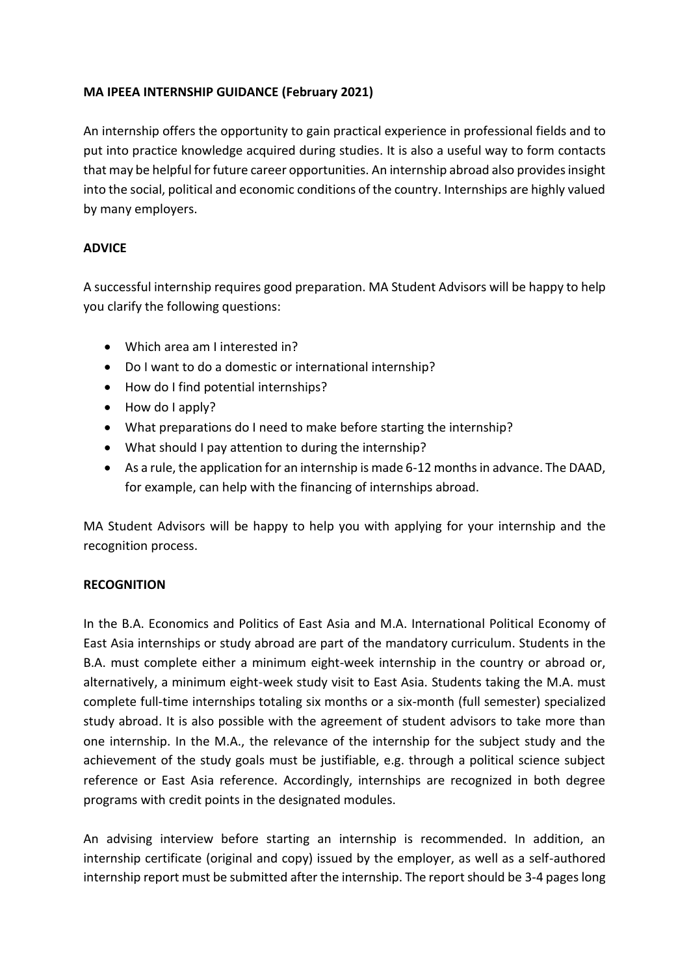## **MA IPEEA INTERNSHIP GUIDANCE (February 2021)**

An internship offers the opportunity to gain practical experience in professional fields and to put into practice knowledge acquired during studies. It is also a useful way to form contacts that may be helpful for future career opportunities. An internship abroad also provides insight into the social, political and economic conditions of the country. Internships are highly valued by many employers.

## **ADVICE**

A successful internship requires good preparation. MA Student Advisors will be happy to help you clarify the following questions:

- Which area am I interested in?
- Do I want to do a domestic or international internship?
- How do I find potential internships?
- How do I apply?
- What preparations do I need to make before starting the internship?
- What should I pay attention to during the internship?
- As a rule, the application for an internship is made 6-12 months in advance. The DAAD, for example, can help with the financing of internships abroad.

MA Student Advisors will be happy to help you with applying for your internship and the recognition process.

## **RECOGNITION**

In the B.A. Economics and Politics of East Asia and M.A. International Political Economy of East Asia internships or study abroad are part of the mandatory curriculum. Students in the B.A. must complete either a minimum eight-week internship in the country or abroad or, alternatively, a minimum eight-week study visit to East Asia. Students taking the M.A. must complete full-time internships totaling six months or a six-month (full semester) specialized study abroad. It is also possible with the agreement of student advisors to take more than one internship. In the M.A., the relevance of the internship for the subject study and the achievement of the study goals must be justifiable, e.g. through a political science subject reference or East Asia reference. Accordingly, internships are recognized in both degree programs with credit points in the designated modules.

An advising interview before starting an internship is recommended. In addition, an internship certificate (original and copy) issued by the employer, as well as a self-authored internship report must be submitted after the internship. The report should be 3-4 pages long